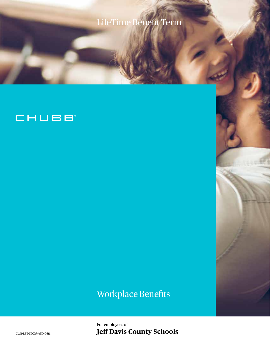# LifeTime Benefit Term

### CHUBB

## Workplace Benefits

For employees of CWB-LBT-LTC75-JeffD-0618 **Jeff Davis County Schools**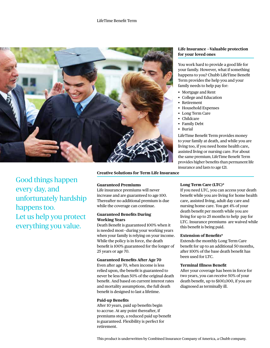

**Life Insurance —Valuable protection for your loved ones**

You work hard to provide a good life for your family. However, what if something happens to you? Chubb LifeTime Benefit Term provides the help you and your family needs to help pay for:

- Mortgage and Rent
- College and Education
- **Retirement**
- Household Expenses
- Long Term Care
- Childcare
- Family Debt
- Burial

LifeTime Benefit Term provides money to your family at death, and while you are living too, if you need home health care, assisted living or nursing care. For about the same premium, LifeTime Benefit Term provides higher benefits than permanent life insurance and lasts to age 121.

Good things happen every day, and unfortunately hardship happens too. Let us help you protect everything you value.

**Creative Solutions for Term Life Insurance**

#### **Guaranteed Premiums**

Life insurance premiums will never increase and are guaranteed to age 100. Thereafter no additional premium is due while the coverage can continue.

#### **Guaranteed Benefits During Working Years**

Death Benefit is guaranteed 100% when it is needed most—during your working years when your family is relying on your income. While the policy is in force, the death benefit is 100% guaranteed for the longer of 25 years or age 70.

#### **Guaranteed Benefits After Age 70**

Even after age 70, when income is less relied upon, the benefit is guaranteed to never be less than 50% of the original death benefit. And based on current interest rates and mortality assumptions, the full death benefit is designed to last a lifetime.

#### **Paid-up Benefits**

After 10 years, paid up benefits begin to accrue. At any point thereafter, if premiums stop, a reduced paid up benefit is guaranteed. Flexibility is perfect for retirement.

#### **Long Term Care (LTC)\***

If you need LTC, you can access your death benefit while you are living for home health care, assisted living, adult day care and nursing home care. You get 4% of your death benefit per month while you are living for up to 25 months to help pay for LTC. Insurance premiums are waived while this benefit is being paid.

#### **Extension of Benefits\***

Extends the monthly Long Term Care benefit for up to an additional 50 months, after 100% of the base death benefit has been used for LTC.

#### **Terminal Illness Benefit**

After your coverage has been in force for two years, you can receive 50% of your death benefit, up to \$100,000, if you are diagnosed as terminally ill.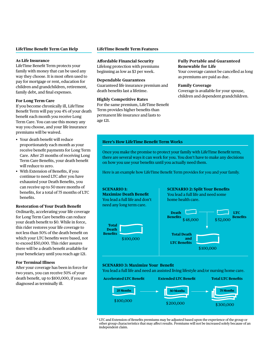#### **LifeTime Benefit Term Can Help**

#### **As Life Insurance**

LifeTime Benefit Term protects your family with money that can be used any way they choose. It is most often used to pay for mortgage or rent, education for children and grandchildren, retirement, family debt, and final expenses.

#### **For Long Term Care**

If you become chronically ill, LifeTime Benefit Term will pay you 4% of your death benefit each month you receive Long Term Care. You can use this money any way you choose, and your life insurance premiums will be waived.

- Your death benefit will reduce proportionately each month as your receive benefit payments for Long Term Care. After 25 months of receiving Long Term Care Benefits, your death benefit will reduce to zero.
- With Extension of Benefits, if you continue to need LTC after you have exhausted your Death Benefits, you can receive up to 50 more months of benefits, for a total of 75 months of LTC benefits.

#### **Restoration of Your Death Benefit**

Ordinarily, accelerating your life coverage for Long Term Care benefits can reduce your death benefit to \$0. While in force, this rider restores your life coverage to not less than 50% of the death benefit on which your LTC benefits were based, not to exceed \$50,000. This rider assures there will be a death benefit available for your beneficiary until you reach age 121.

#### **For Terminal Illness**

After your coverage has been in force for two years, you can receive 50% of your death benefit, up to \$100,000, if you are diagnosed as terminally ill.

#### **LifeTime Benefit Term Features**

#### **Affordable Financial Security**

Lifelong protection with premiums beginning as low as \$3 per week.

#### **Dependable Guarantees**

Guaranteed life insurance premium and death benefits last a lifetime.

#### **Highly Competitive Rates**

For the same premium, LifeTime Benefit Term provides higher benefits than permanent life insurance and lasts to age 121.

#### **Fully Portable and Guaranteed Renewable for Life**

Your coverage cannot be cancelled as long as premiums are paid as due.

#### **Family Coverage**

**SCENARIO 2: Split Your Benefits**

\$ 100,000

Coverage is available for your spouse, children and dependent grandchildren.

#### **Here's How LifeTime Benefit Term Works**

Once you make the promise to protect your family with LifeTime Benefit term, there are several ways it can work for you. You don't have to make any decisions on how you use your benefits until you actually need them.

Here is an example how LifeTime Benefit Term provides for you and your family.

#### **SCENARIO 1:**

**Maximize Death Benefit** You lead a full life and don't need any long term care. **Total Death Benefits** \$ 100,000 You lead a full life and need some home health care. **LTC Benefits Total Death and LTC Benefits Death Benefits** \$48,000 \$52,000

#### **SCENARIO 3: Maximize Your Benefit**

You lead a full life and need an assisted living lifestyle and/or nursing home care.



\* LTC and Extension of Benefits premiums may be adjusted based upon the experience of the group or other group characteristics that may affect results. Premiums will not be increased solely because of an independent claim.